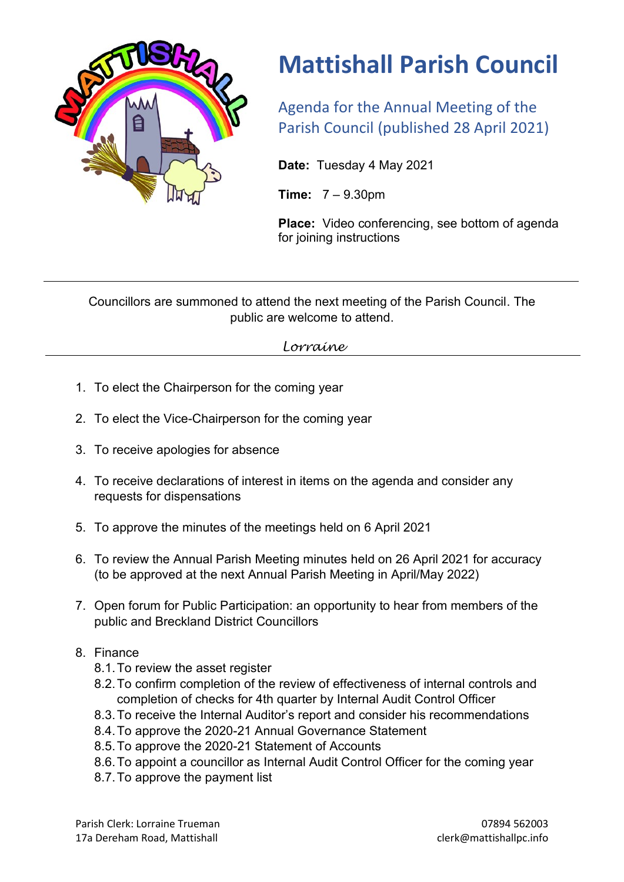

# **Mattishall Parish Council**

Agenda for the Annual Meeting of the Parish Council (published 28 April 2021)

**Date:** Tuesday 4 May 2021

**Time:** 7 – 9.30pm

**Place:** Video conferencing, see bottom of agenda for joining instructions

Councillors are summoned to attend the next meeting of the Parish Council. The public are welcome to attend.

# *Lorraine*

- 1. To elect the Chairperson for the coming year
- 2. To elect the Vice-Chairperson for the coming year
- 3. To receive apologies for absence
- 4. To receive declarations of interest in items on the agenda and consider any requests for dispensations
- 5. To approve the minutes of the meetings held on 6 April 2021
- 6. To review the Annual Parish Meeting minutes held on 26 April 2021 for accuracy (to be approved at the next Annual Parish Meeting in April/May 2022)
- 7. Open forum for Public Participation: an opportunity to hear from members of the public and Breckland District Councillors

### 8. Finance

- 8.1.To review the asset register
- 8.2.To confirm completion of the review of effectiveness of internal controls and completion of checks for 4th quarter by Internal Audit Control Officer
- 8.3.To receive the Internal Auditor's report and consider his recommendations
- 8.4.To approve the 2020-21 Annual Governance Statement
- 8.5.To approve the 2020-21 Statement of Accounts
- 8.6.To appoint a councillor as Internal Audit Control Officer for the coming year
- 8.7.To approve the payment list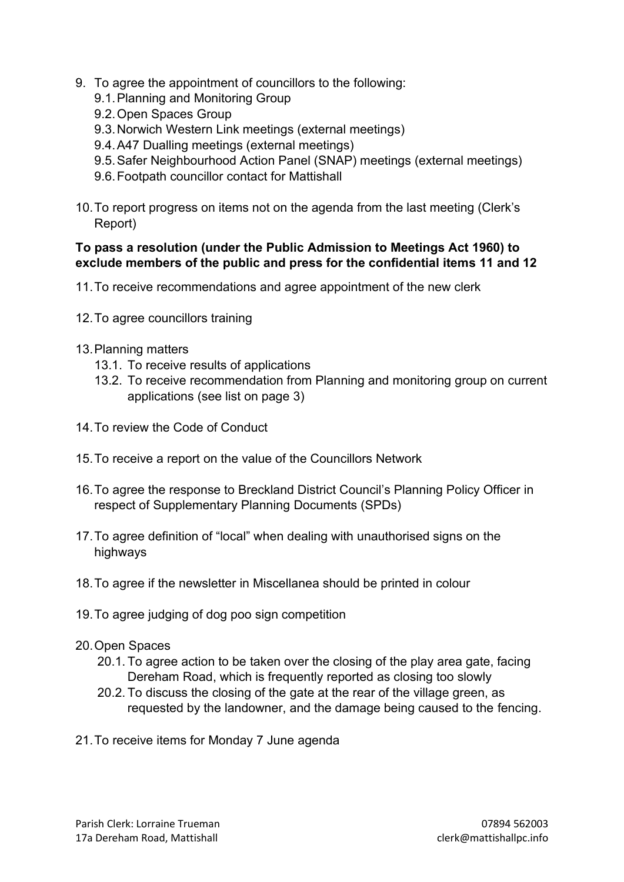- 9. To agree the appointment of councillors to the following:
	- 9.1.Planning and Monitoring Group
	- 9.2.Open Spaces Group
	- 9.3.Norwich Western Link meetings (external meetings)
	- 9.4.A47 Dualling meetings (external meetings)
	- 9.5.Safer Neighbourhood Action Panel (SNAP) meetings (external meetings)
	- 9.6.Footpath councillor contact for Mattishall
- 10.To report progress on items not on the agenda from the last meeting (Clerk's Report)

#### **To pass a resolution (under the Public Admission to Meetings Act 1960) to exclude members of the public and press for the confidential items 11 and 12**

- 11.To receive recommendations and agree appointment of the new clerk
- 12.To agree councillors training
- 13.Planning matters
	- 13.1. To receive results of applications
	- 13.2. To receive recommendation from Planning and monitoring group on current applications (see list on page 3)
- 14.To review the Code of Conduct
- 15.To receive a report on the value of the Councillors Network
- 16.To agree the response to Breckland District Council's Planning Policy Officer in respect of Supplementary Planning Documents (SPDs)
- 17.To agree definition of "local" when dealing with unauthorised signs on the highways
- 18.To agree if the newsletter in Miscellanea should be printed in colour
- 19.To agree judging of dog poo sign competition
- 20.Open Spaces
	- 20.1. To agree action to be taken over the closing of the play area gate, facing Dereham Road, which is frequently reported as closing too slowly
	- 20.2. To discuss the closing of the gate at the rear of the village green, as requested by the landowner, and the damage being caused to the fencing.
- 21.To receive items for Monday 7 June agenda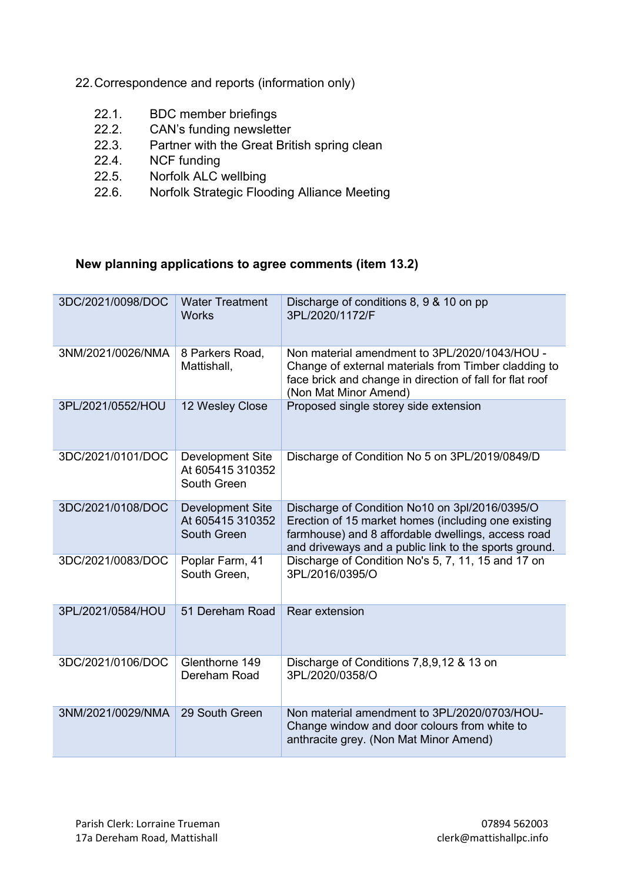- 22.Correspondence and reports (information only)
	- 22.1. BDC member briefings
	- 22.2. CAN's funding newsletter
	- 22.3. Partner with the Great British spring clean<br>22.4. NCF funding
	- NCF funding
	- 22.5. Norfolk ALC wellbing
	- 22.6. Norfolk Strategic Flooding Alliance Meeting

# **New planning applications to agree comments (item 13.2)**

| 3DC/2021/0098/DOC | <b>Water Treatment</b><br><b>Works</b>                     | Discharge of conditions 8, 9 & 10 on pp<br>3PL/2020/1172/F                                                                                                                                                           |
|-------------------|------------------------------------------------------------|----------------------------------------------------------------------------------------------------------------------------------------------------------------------------------------------------------------------|
| 3NM/2021/0026/NMA | 8 Parkers Road,<br>Mattishall,                             | Non material amendment to 3PL/2020/1043/HOU -<br>Change of external materials from Timber cladding to<br>face brick and change in direction of fall for flat roof<br>(Non Mat Minor Amend)                           |
| 3PL/2021/0552/HOU | 12 Wesley Close                                            | Proposed single storey side extension                                                                                                                                                                                |
| 3DC/2021/0101/DOC | <b>Development Site</b><br>At 605415 310352<br>South Green | Discharge of Condition No 5 on 3PL/2019/0849/D                                                                                                                                                                       |
| 3DC/2021/0108/DOC | <b>Development Site</b><br>At 605415 310352<br>South Green | Discharge of Condition No10 on 3pl/2016/0395/O<br>Erection of 15 market homes (including one existing<br>farmhouse) and 8 affordable dwellings, access road<br>and driveways and a public link to the sports ground. |
| 3DC/2021/0083/DOC | Poplar Farm, 41<br>South Green,                            | Discharge of Condition No's 5, 7, 11, 15 and 17 on<br>3PL/2016/0395/O                                                                                                                                                |
| 3PL/2021/0584/HOU | 51 Dereham Road                                            | <b>Rear extension</b>                                                                                                                                                                                                |
| 3DC/2021/0106/DOC | Glenthorne 149<br>Dereham Road                             | Discharge of Conditions 7,8,9,12 & 13 on<br>3PL/2020/0358/O                                                                                                                                                          |
| 3NM/2021/0029/NMA | 29 South Green                                             | Non material amendment to 3PL/2020/0703/HOU-<br>Change window and door colours from white to<br>anthracite grey. (Non Mat Minor Amend)                                                                               |